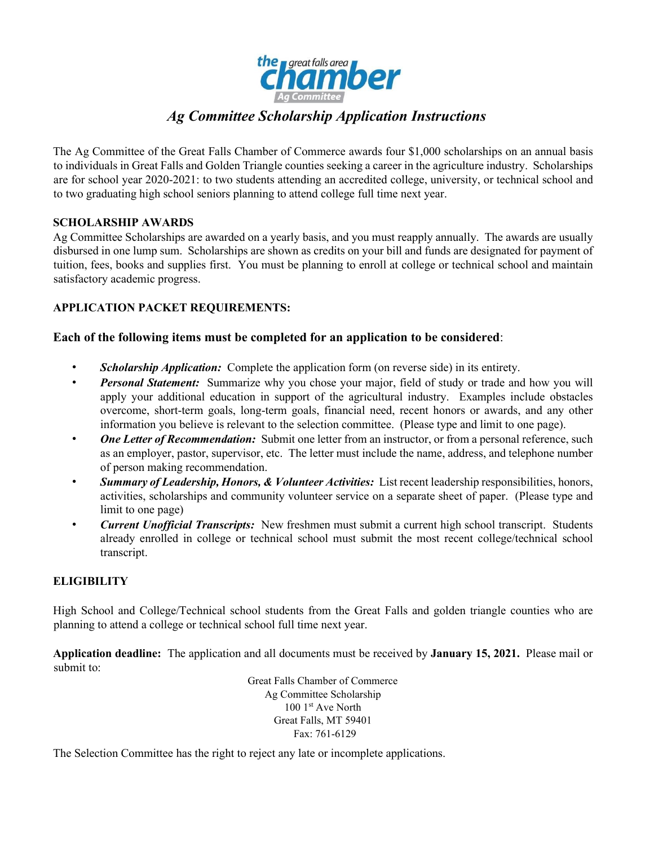

# *Ag Committee Scholarship Application Instructions*

The Ag Committee of the Great Falls Chamber of Commerce awards four \$1,000 scholarships on an annual basis to individuals in Great Falls and Golden Triangle counties seeking a career in the agriculture industry. Scholarships are for school year 2020-2021: to two students attending an accredited college, university, or technical school and to two graduating high school seniors planning to attend college full time next year.

#### **SCHOLARSHIP AWARDS**

Ag Committee Scholarships are awarded on a yearly basis, and you must reapply annually. The awards are usually disbursed in one lump sum. Scholarships are shown as credits on your bill and funds are designated for payment of tuition, fees, books and supplies first. You must be planning to enroll at college or technical school and maintain satisfactory academic progress.

#### **APPLICATION PACKET REQUIREMENTS:**

## **Each of the following items must be completed for an application to be considered**:

- *Scholarship Application:* Complete the application form (on reverse side) in its entirety.
- *Personal Statement:* Summarize why you chose your major, field of study or trade and how you will apply your additional education in support of the agricultural industry. Examples include obstacles overcome, short-term goals, long-term goals, financial need, recent honors or awards, and any other information you believe is relevant to the selection committee. (Please type and limit to one page).
- *One Letter of Recommendation:* Submit one letter from an instructor, or from a personal reference, such as an employer, pastor, supervisor, etc. The letter must include the name, address, and telephone number of person making recommendation.
- *Summary of Leadership, Honors, & Volunteer Activities:* List recent leadership responsibilities, honors, activities, scholarships and community volunteer service on a separate sheet of paper. (Please type and limit to one page)
- *Current Unofficial Transcripts:* New freshmen must submit a current high school transcript. Students already enrolled in college or technical school must submit the most recent college/technical school transcript.

## **ELIGIBILITY**

High School and College/Technical school students from the Great Falls and golden triangle counties who are planning to attend a college or technical school full time next year.

**Application deadline:** The application and all documents must be received by **January 15, 2021.** Please mail or submit to:

> Great Falls Chamber of Commerce Ag Committee Scholarship 100 1st Ave North Great Falls, MT 59401 Fax: 761-6129

The Selection Committee has the right to reject any late or incomplete applications.